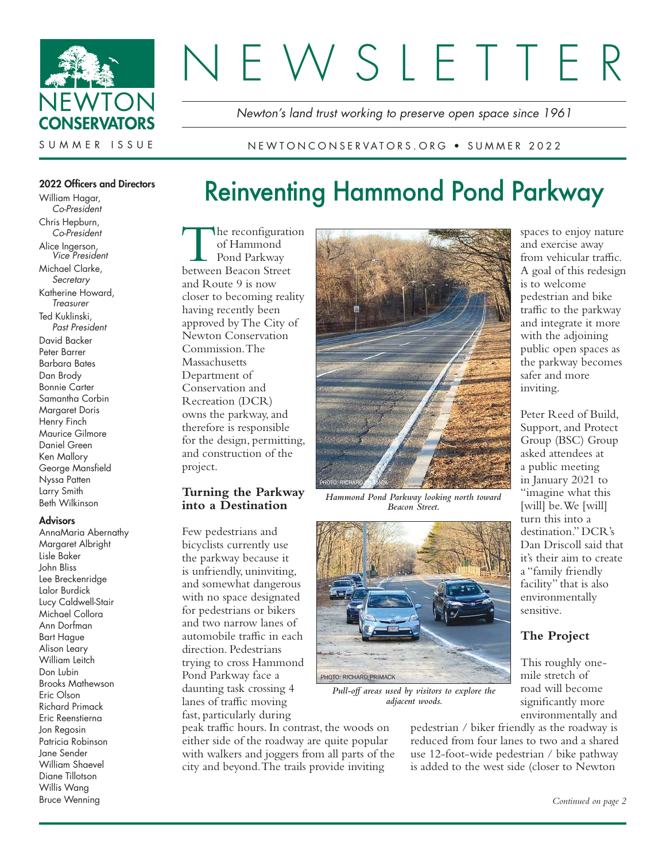

# FWSLETTE

Newton's land trust working to preserve open space since 1961

#### NEWTONCONSERVATORS.ORG • SUMMER 2022

#### 2022 Officers and Directors

William Hagar, Co-President Chris Hepburn, Co-President Alice Ingerson, Vice President Michael Clarke, **Secretary** Katherine Howard, **Treasurer** Ted Kuklinski, Past President David Backer Peter Barrer Barbara Bates Dan Brody Bonnie Carter Samantha Corbin Margaret Doris Henry Finch Maurice Gilmore Daniel Green Ken Mallory George Mansfield Nyssa Patten Larry Smith Beth Wilkinson

#### **Advisors**

AnnaMaria Abernathy Margaret Albright Lisle Baker John Bliss Lee Breckenridge Lalor Burdick Lucy Caldwell-Stair Michael Collora Ann Dorfman Bart Hague Alison Leary William Leitch Don Lubin Brooks Mathewson Eric Olson Richard Primack Eric Reenstierna Jon Regosin Patricia Robinson Jane Sender William Shaevel Diane Tillotson Willis Wang Bruce Wenning

# Reinventing Hammond Pond Parkway

The reconfiguration<br>
of Hammond<br>
Pond Parkway<br>
between Beacon Street he reconfiguration of Hammond Pond Parkway and Route 9 is now closer to becoming reality having recently been approved by The City of Newton Conservation Commission. The **Massachusetts** Department of Conservation and Recreation (DCR) owns the parkway, and therefore is responsible for the design, permitting, and construction of the project.

#### **Turning the Parkway into a Destination**

Few pedestrians and bicyclists currently use the parkway because it is unfriendly, uninviting, and somewhat dangerous with no space designated for pedestrians or bikers and two narrow lanes of automobile traffic in each direction. Pedestrians trying to cross Hammond Pond Parkway face a daunting task crossing 4 lanes of traffic moving fast, particularly during

peak traffic hours. In contrast, the woods on either side of the roadway are quite popular with walkers and joggers from all parts of the city and beyond. The trails provide inviting



*Hammond Pond Parkway looking north toward Beacon Street.*



*Pull-off areas used by visitors to explore the adjacent woods.* 

pedestrian / biker friendly as the roadway is reduced from four lanes to two and a shared use 12-foot-wide pedestrian / bike pathway is added to the west side (closer to Newton

spaces to enjoy nature and exercise away from vehicular traffic. A goal of this redesign is to welcome pedestrian and bike traffic to the parkway and integrate it more with the adjoining public open spaces as the parkway becomes safer and more inviting.

Peter Reed of Build, Support, and Protect Group (BSC) Group asked attendees at a public meeting in January 2021 to "imagine what this [will] be. We [will] turn this into a destination." DCR's Dan Driscoll said that it's their aim to create a "family friendly facility" that is also environmentally sensitive.

#### **The Project**

This roughly onemile stretch of road will become significantly more environmentally and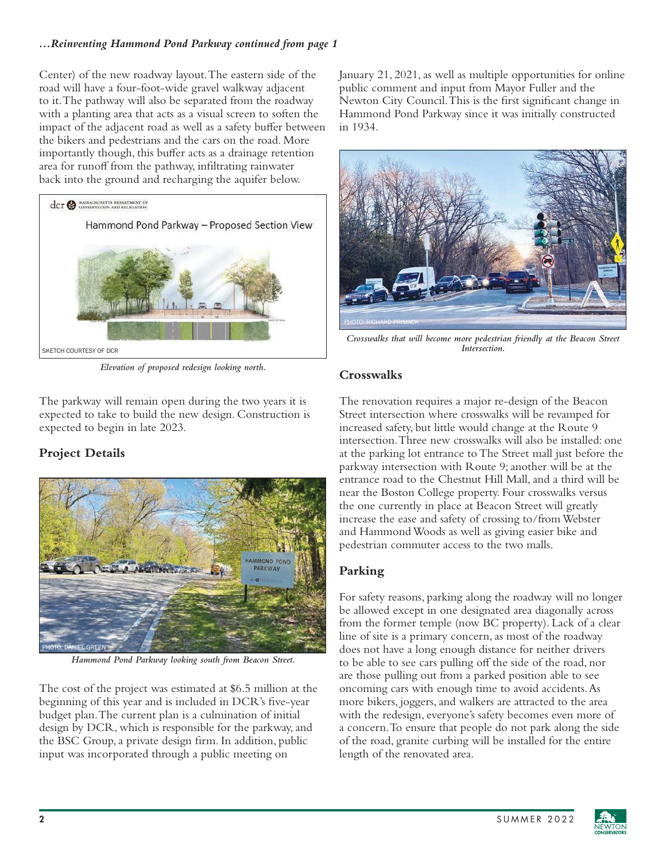# *...Reinventing Hammond Pond Parkway continued from page 1*

Center) of the new roadway layout. The eastern side of the road will have a four-foot-wide gravel walkway adjacent to it. The pathway will also be separated from the roadway with a planting area that acts as a visual screen to soften the impact of the adjacent road as well as a safety buffer between the bikers and pedestrians and the cars on the road. More importantly though, this buffer acts as a drainage retention area for runoff from the pathway, infiltrating rainwater back into the ground and recharging the aquifer below.



*Elevation of proposed redesign looking north.* 

The parkway will remain open during the two years it is expected to take to build the new design. Construction is expected to begin in late 2023.

# **Project Details**



*Hammond Pond Parkway looking south from Beacon Street.* 

The cost of the project was estimated at \$6.5 million at the beginning of this year and is included in DCR's five-year budget plan. The current plan is a culmination of initial design by DCR, which is responsible for the parkway, and the BSC Group, a private design firm. In addition, public input was incorporated through a public meeting on

January 21, 2021, as well as multiple opportunities for online public comment and input from Mayor Fuller and the Newton City Council. This is the first significant change in Hammond Pond Parkway since it was initially constructed in 1934.



*Crosswalks that will become more pedestrian friendly at the Beacon Street Intersection.*

# **Crosswalks**

The renovation requires a major re-design of the Beacon Street intersection where crosswalks will be revamped for increased safety, but little would change at the Route 9 intersection. Three new crosswalks will also be installed: one at the parking lot entrance to The Street mall just before the parkway intersection with Route 9; another will be at the entrance road to the Chestnut Hill Mall, and a third will be near the Boston College property. Four crosswalks versus the one currently in place at Beacon Street will greatly increase the ease and safety of crossing to/from Webster and Hammond Woods as well as giving easier bike and pedestrian commuter access to the two malls.

# **Parking**

For safety reasons, parking along the roadway will no longer be allowed except in one designated area diagonally across from the former temple (now BC property). Lack of a clear line of site is a primary concern, as most of the roadway does not have a long enough distance for neither drivers to be able to see cars pulling off the side of the road, nor are those pulling out from a parked position able to see oncoming cars with enough time to avoid accidents. As more bikers, joggers, and walkers are attracted to the area with the redesign, everyone's safety becomes even more of a concern. To ensure that people do not park along the side of the road, granite curbing will be installed for the entire length of the renovated area.